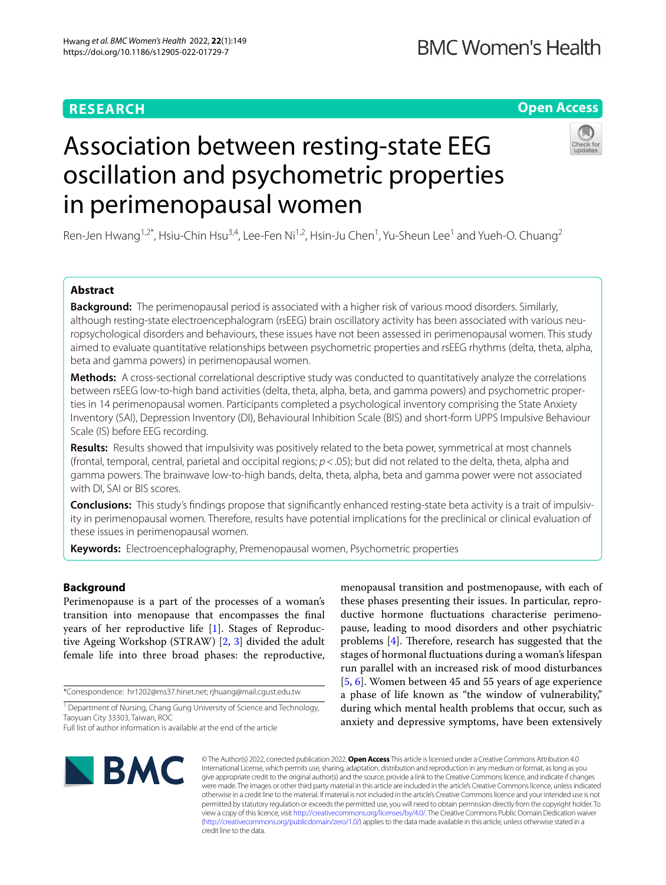# **RESEARCH**

# **Open Access**



# Association between resting-state EEG oscillation and psychometric properties in perimenopausal women

Ren-Jen Hwang<sup>1,2\*</sup>, Hsiu-Chin Hsu<sup>3,4</sup>, Lee-Fen Ni<sup>1,2</sup>, Hsin-Ju Chen<sup>1</sup>, Yu-Sheun Lee<sup>1</sup> and Yueh-O. Chuang<sup>2</sup>

# **Abstract**

**Background:** The perimenopausal period is associated with a higher risk of various mood disorders. Similarly, although resting-state electroencephalogram (rsEEG) brain oscillatory activity has been associated with various neuropsychological disorders and behaviours, these issues have not been assessed in perimenopausal women. This study aimed to evaluate quantitative relationships between psychometric properties and rsEEG rhythms (delta, theta, alpha, beta and gamma powers) in perimenopausal women.

**Methods:** A cross-sectional correlational descriptive study was conducted to quantitatively analyze the correlations between rsEEG low-to-high band activities (delta, theta, alpha, beta, and gamma powers) and psychometric proper‑ ties in 14 perimenopausal women. Participants completed a psychological inventory comprising the State Anxiety Inventory (SAI), Depression Inventory (DI), Behavioural Inhibition Scale (BIS) and short-form UPPS Impulsive Behaviour Scale (IS) before EEG recording.

**Results:** Results showed that impulsivity was positively related to the beta power, symmetrical at most channels (frontal, temporal, central, parietal and occipital regions; *p*<.05); but did not related to the delta, theta, alpha and gamma powers. The brainwave low-to-high bands, delta, theta, alpha, beta and gamma power were not associated with DI, SAI or BIS scores.

**Conclusions:** This study's fndings propose that signifcantly enhanced resting-state beta activity is a trait of impulsiv‑ ity in perimenopausal women. Therefore, results have potential implications for the preclinical or clinical evaluation of these issues in perimenopausal women.

**Keywords:** Electroencephalography, Premenopausal women, Psychometric properties

# **Background**

Perimenopause is a part of the processes of a woman's transition into menopause that encompasses the fnal years of her reproductive life [[1\]](#page-7-0). Stages of Reproductive Ageing Workshop (STRAW) [\[2](#page-7-1), [3](#page-7-2)] divided the adult female life into three broad phases: the reproductive,

\*Correspondence: hr1202@ms37.hinet.net; rjhuang@mail.cgust.edu.tw

<sup>1</sup> Department of Nursing, Chang Gung University of Science and Technology, Taoyuan City 33303, Taiwan, ROC

menopausal transition and postmenopause, with each of these phases presenting their issues. In particular, reproductive hormone fuctuations characterise perimenopause, leading to mood disorders and other psychiatric problems  $[4]$  $[4]$ . Therefore, research has suggested that the stages of hormonal fuctuations during a woman's lifespan run parallel with an increased risk of mood disturbances [[5,](#page-7-4) [6](#page-7-5)]. Women between 45 and 55 years of age experience a phase of life known as "the window of vulnerability," during which mental health problems that occur, such as anxiety and depressive symptoms, have been extensively



© The Author(s) 2022, corrected publication 2022. **Open Access** This article is licensed under a Creative Commons Attribution 4.0 International License, which permits use, sharing, adaptation, distribution and reproduction in any medium or format, as long as you give appropriate credit to the original author(s) and the source, provide a link to the Creative Commons licence, and indicate if changes were made. The images or other third party material in this article are included in the article's Creative Commons licence, unless indicated otherwise in a credit line to the material. If material is not included in the article's Creative Commons licence and your intended use is not permitted by statutory regulation or exceeds the permitted use, you will need to obtain permission directly from the copyright holder. To view a copy of this licence, visit [http://creativecommons.org/licenses/by/4.0/.](http://creativecommons.org/licenses/by/4.0/) The Creative Commons Public Domain Dedication waiver [\(http://creativecommons.org/publicdomain/zero/1.0/\)](http://creativecommons.org/publicdomain/zero/1.0/) applies to the data made available in this article, unless otherwise stated in a credit line to the data.

Full list of author information is available at the end of the article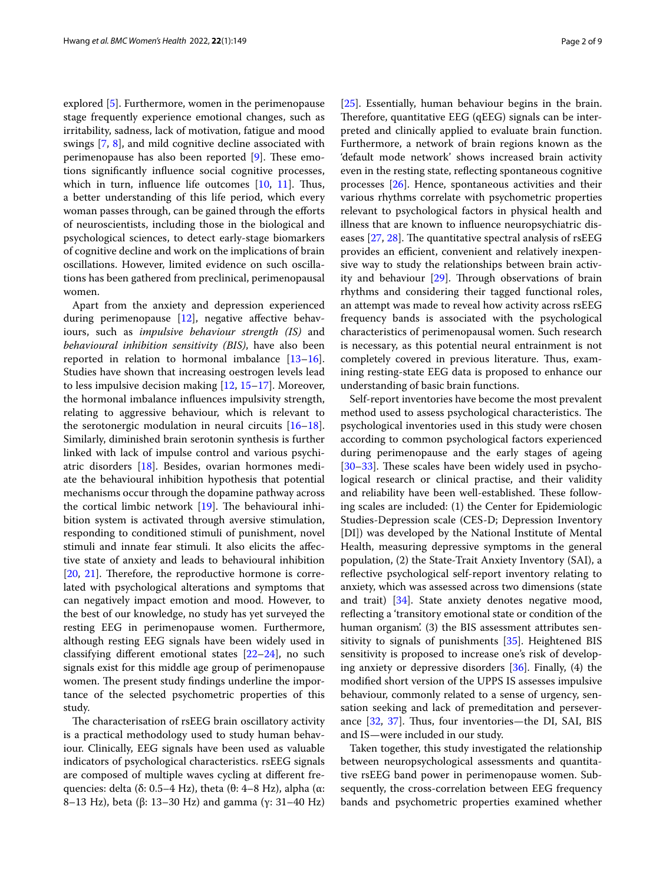explored [\[5](#page-7-4)]. Furthermore, women in the perimenopause stage frequently experience emotional changes, such as irritability, sadness, lack of motivation, fatigue and mood swings [[7](#page-7-6), [8\]](#page-7-7), and mild cognitive decline associated with perimenopause has also been reported  $[9]$  $[9]$ . These emotions signifcantly infuence social cognitive processes, which in turn, influence life outcomes  $[10, 11]$  $[10, 11]$  $[10, 11]$ . Thus, a better understanding of this life period, which every woman passes through, can be gained through the eforts of neuroscientists, including those in the biological and psychological sciences, to detect early-stage biomarkers of cognitive decline and work on the implications of brain oscillations. However, limited evidence on such oscillations has been gathered from preclinical, perimenopausal women.

Apart from the anxiety and depression experienced during perimenopause [[12\]](#page-7-11), negative afective behaviours, such as *impulsive behaviour strength (IS)* and *behavioural inhibition sensitivity (BIS)*, have also been reported in relation to hormonal imbalance  $[13-16]$  $[13-16]$  $[13-16]$ . Studies have shown that increasing oestrogen levels lead to less impulsive decision making [\[12,](#page-7-11) [15–](#page-7-14)[17\]](#page-7-15). Moreover, the hormonal imbalance infuences impulsivity strength, relating to aggressive behaviour, which is relevant to the serotonergic modulation in neural circuits  $[16-18]$  $[16-18]$  $[16-18]$ . Similarly, diminished brain serotonin synthesis is further linked with lack of impulse control and various psychiatric disorders [\[18\]](#page-7-16). Besides, ovarian hormones mediate the behavioural inhibition hypothesis that potential mechanisms occur through the dopamine pathway across the cortical limbic network  $[19]$  $[19]$ . The behavioural inhibition system is activated through aversive stimulation, responding to conditioned stimuli of punishment, novel stimuli and innate fear stimuli. It also elicits the afective state of anxiety and leads to behavioural inhibition  $[20, 21]$  $[20, 21]$  $[20, 21]$  $[20, 21]$ . Therefore, the reproductive hormone is correlated with psychological alterations and symptoms that can negatively impact emotion and mood. However, to the best of our knowledge, no study has yet surveyed the resting EEG in perimenopause women. Furthermore, although resting EEG signals have been widely used in classifying diferent emotional states [\[22](#page-7-20)[–24](#page-7-21)], no such signals exist for this middle age group of perimenopause women. The present study findings underline the importance of the selected psychometric properties of this study.

The characterisation of rsEEG brain oscillatory activity is a practical methodology used to study human behaviour. Clinically, EEG signals have been used as valuable indicators of psychological characteristics. rsEEG signals are composed of multiple waves cycling at diferent frequencies: delta (δ: 0.5–4 Hz), theta (θ: 4–8 Hz), alpha (α: 8–13 Hz), beta (β: 13–30 Hz) and gamma (γ: 31–40 Hz)

[[25\]](#page-7-22). Essentially, human behaviour begins in the brain. Therefore, quantitative EEG (qEEG) signals can be interpreted and clinically applied to evaluate brain function. Furthermore, a network of brain regions known as the 'default mode network' shows increased brain activity even in the resting state, refecting spontaneous cognitive processes [\[26](#page-7-23)]. Hence, spontaneous activities and their various rhythms correlate with psychometric properties relevant to psychological factors in physical health and illness that are known to infuence neuropsychiatric diseases  $[27, 28]$  $[27, 28]$  $[27, 28]$  $[27, 28]$ . The quantitative spectral analysis of rsEEG provides an efficient, convenient and relatively inexpensive way to study the relationships between brain activity and behaviour  $[29]$ . Through observations of brain rhythms and considering their tagged functional roles, an attempt was made to reveal how activity across rsEEG frequency bands is associated with the psychological characteristics of perimenopausal women. Such research is necessary, as this potential neural entrainment is not completely covered in previous literature. Thus, examining resting-state EEG data is proposed to enhance our understanding of basic brain functions.

Self-report inventories have become the most prevalent method used to assess psychological characteristics. The psychological inventories used in this study were chosen according to common psychological factors experienced during perimenopause and the early stages of ageing [[30–](#page-7-27)[33\]](#page-7-28). These scales have been widely used in psychological research or clinical practise, and their validity and reliability have been well-established. These following scales are included: (1) the Center for Epidemiologic Studies-Depression scale (CES-D; Depression Inventory [DI]) was developed by the National Institute of Mental Health, measuring depressive symptoms in the general population, (2) the State-Trait Anxiety Inventory (SAI), a reflective psychological self-report inventory relating to anxiety, which was assessed across two dimensions (state and trait) [\[34](#page-7-29)]. State anxiety denotes negative mood, refecting a 'transitory emotional state or condition of the human organism'. (3) the BIS assessment attributes sensitivity to signals of punishments [\[35\]](#page-7-30). Heightened BIS sensitivity is proposed to increase one's risk of developing anxiety or depressive disorders [[36\]](#page-7-31). Finally, (4) the modifed short version of the UPPS IS assesses impulsive behaviour, commonly related to a sense of urgency, sensation seeking and lack of premeditation and perseverance  $[32, 37]$  $[32, 37]$  $[32, 37]$  $[32, 37]$ . Thus, four inventories—the DI, SAI, BIS and IS—were included in our study.

Taken together, this study investigated the relationship between neuropsychological assessments and quantitative rsEEG band power in perimenopause women. Subsequently, the cross-correlation between EEG frequency bands and psychometric properties examined whether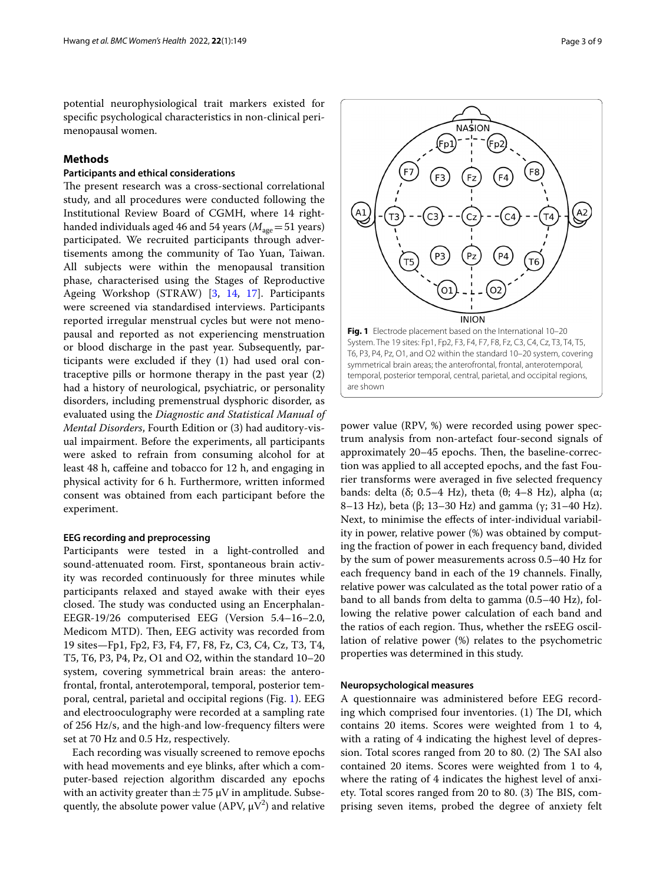potential neurophysiological trait markers existed for specifc psychological characteristics in non-clinical perimenopausal women.

# **Methods**

# **Participants and ethical considerations**

The present research was a cross-sectional correlational study, and all procedures were conducted following the Institutional Review Board of CGMH, where 14 righthanded individuals aged 46 and 54 years  $(M<sub>age</sub>=51$  years) participated. We recruited participants through advertisements among the community of Tao Yuan, Taiwan. All subjects were within the menopausal transition phase, characterised using the Stages of Reproductive Ageing Workshop (STRAW) [[3,](#page-7-2) [14](#page-7-34), [17](#page-7-15)]. Participants were screened via standardised interviews. Participants reported irregular menstrual cycles but were not menopausal and reported as not experiencing menstruation or blood discharge in the past year. Subsequently, participants were excluded if they (1) had used oral contraceptive pills or hormone therapy in the past year (2) had a history of neurological, psychiatric, or personality disorders, including premenstrual dysphoric disorder, as evaluated using the *Diagnostic and Statistical Manual of Mental Disorders*, Fourth Edition or (3) had auditory-visual impairment. Before the experiments, all participants were asked to refrain from consuming alcohol for at least 48 h, cafeine and tobacco for 12 h, and engaging in physical activity for 6 h. Furthermore, written informed consent was obtained from each participant before the experiment.

## **EEG recording and preprocessing**

Participants were tested in a light-controlled and sound-attenuated room. First, spontaneous brain activity was recorded continuously for three minutes while participants relaxed and stayed awake with their eyes closed. The study was conducted using an Encerphalan-EEGR-19/26 computerised EEG (Version 5.4–16–2.0, Medicom MTD). Then, EEG activity was recorded from 19 sites—Fp1, Fp2, F3, F4, F7, F8, Fz, C3, C4, Cz, T3, T4, T5, T6, P3, P4, Pz, O1 and O2, within the standard 10–20 system, covering symmetrical brain areas: the anterofrontal, frontal, anterotemporal, temporal, posterior temporal, central, parietal and occipital regions (Fig. [1\)](#page-2-0). EEG and electrooculography were recorded at a sampling rate of 256 Hz/s, and the high-and low-frequency flters were set at 70 Hz and 0.5 Hz, respectively.

Each recording was visually screened to remove epochs with head movements and eye blinks, after which a computer-based rejection algorithm discarded any epochs with an activity greater than  $\pm$  75  $\mu$ V in amplitude. Subsequently, the absolute power value (APV,  $\mu$ V<sup>2</sup>) and relative

<span id="page-2-0"></span>power value (RPV, %) were recorded using power spectrum analysis from non-artefact four-second signals of approximately 20–45 epochs. Then, the baseline-correction was applied to all accepted epochs, and the fast Fourier transforms were averaged in fve selected frequency bands: delta (δ; 0.5–4 Hz), theta (θ; 4–8 Hz), alpha (α; 8–13 Hz), beta (β; 13–30 Hz) and gamma (γ; 31–40 Hz). Next, to minimise the efects of inter-individual variability in power, relative power (%) was obtained by computing the fraction of power in each frequency band, divided by the sum of power measurements across 0.5–40 Hz for each frequency band in each of the 19 channels. Finally, relative power was calculated as the total power ratio of a band to all bands from delta to gamma (0.5–40 Hz), following the relative power calculation of each band and the ratios of each region. Thus, whether the rsEEG oscillation of relative power (%) relates to the psychometric properties was determined in this study.

## **Neuropsychological measures**

A questionnaire was administered before EEG recording which comprised four inventories.  $(1)$  The DI, which contains 20 items. Scores were weighted from 1 to 4, with a rating of 4 indicating the highest level of depression. Total scores ranged from 20 to 80. (2) The SAI also contained 20 items. Scores were weighted from 1 to 4, where the rating of 4 indicates the highest level of anxiety. Total scores ranged from 20 to 80. (3) The BIS, comprising seven items, probed the degree of anxiety felt

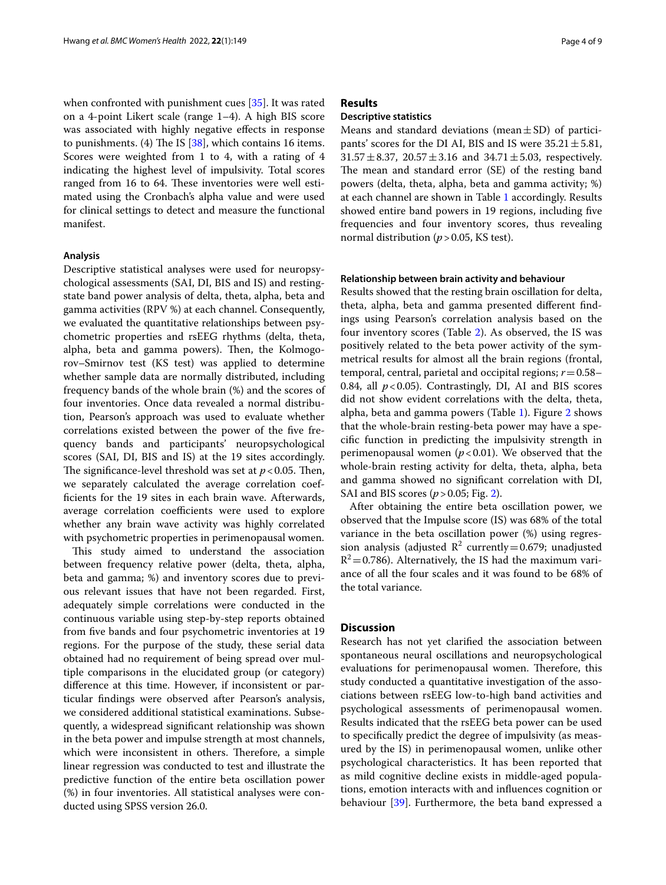when confronted with punishment cues [\[35\]](#page-7-30). It was rated on a 4-point Likert scale (range 1–4). A high BIS score was associated with highly negative efects in response to punishments. (4) The IS  $[38]$  $[38]$ , which contains 16 items. Scores were weighted from 1 to 4, with a rating of 4 indicating the highest level of impulsivity. Total scores ranged from 16 to 64. These inventories were well estimated using the Cronbach's alpha value and were used for clinical settings to detect and measure the functional manifest.

## **Analysis**

Descriptive statistical analyses were used for neuropsychological assessments (SAI, DI, BIS and IS) and restingstate band power analysis of delta, theta, alpha, beta and gamma activities (RPV %) at each channel. Consequently, we evaluated the quantitative relationships between psychometric properties and rsEEG rhythms (delta, theta, alpha, beta and gamma powers). Then, the Kolmogorov–Smirnov test (KS test) was applied to determine whether sample data are normally distributed, including frequency bands of the whole brain (%) and the scores of four inventories. Once data revealed a normal distribution, Pearson's approach was used to evaluate whether correlations existed between the power of the fve frequency bands and participants' neuropsychological scores (SAI, DI, BIS and IS) at the 19 sites accordingly. The significance-level threshold was set at  $p < 0.05$ . Then, we separately calculated the average correlation coeffcients for the 19 sites in each brain wave. Afterwards, average correlation coefficients were used to explore whether any brain wave activity was highly correlated with psychometric properties in perimenopausal women.

This study aimed to understand the association between frequency relative power (delta, theta, alpha, beta and gamma; %) and inventory scores due to previous relevant issues that have not been regarded. First, adequately simple correlations were conducted in the continuous variable using step-by-step reports obtained from fve bands and four psychometric inventories at 19 regions. For the purpose of the study, these serial data obtained had no requirement of being spread over multiple comparisons in the elucidated group (or category) diference at this time. However, if inconsistent or particular fndings were observed after Pearson's analysis, we considered additional statistical examinations. Subsequently, a widespread signifcant relationship was shown in the beta power and impulse strength at most channels, which were inconsistent in others. Therefore, a simple linear regression was conducted to test and illustrate the predictive function of the entire beta oscillation power (%) in four inventories. All statistical analyses were conducted using SPSS version 26.0.

# **Results**

# **Descriptive statistics**

Means and standard deviations (mean $\pm$ SD) of participants' scores for the DI AI, BIS and IS were  $35.21 \pm 5.81$ ,  $31.57 \pm 8.37$ ,  $20.57 \pm 3.16$  and  $34.71 \pm 5.03$ , respectively. The mean and standard error (SE) of the resting band powers (delta, theta, alpha, beta and gamma activity; %) at each channel are shown in Table [1](#page-4-0) accordingly. Results showed entire band powers in 19 regions, including fve frequencies and four inventory scores, thus revealing normal distribution (*p* > 0.05, KS test).

## **Relationship between brain activity and behaviour**

Results showed that the resting brain oscillation for delta, theta, alpha, beta and gamma presented diferent fndings using Pearson's correlation analysis based on the four inventory scores (Table [2\)](#page-5-0). As observed, the IS was positively related to the beta power activity of the symmetrical results for almost all the brain regions (frontal, temporal, central, parietal and occipital regions; *r*=0.58– 0.84, all  $p < 0.05$ ). Contrastingly, DI, AI and BIS scores did not show evident correlations with the delta, theta, alpha, beta and gamma powers (Table [1\)](#page-4-0). Figure [2](#page-6-0) shows that the whole-brain resting-beta power may have a specifc function in predicting the impulsivity strength in perimenopausal women  $(p<0.01)$ . We observed that the whole-brain resting activity for delta, theta, alpha, beta and gamma showed no signifcant correlation with DI, SAI and BIS scores (*p*>0.05; Fig. [2\)](#page-6-0).

After obtaining the entire beta oscillation power, we observed that the Impulse score (IS) was 68% of the total variance in the beta oscillation power (%) using regression analysis (adjusted  $R^2$  currently = 0.679; unadjusted  $R^2$  = 0.786). Alternatively, the IS had the maximum variance of all the four scales and it was found to be 68% of the total variance.

# **Discussion**

Research has not yet clarifed the association between spontaneous neural oscillations and neuropsychological evaluations for perimenopausal women. Therefore, this study conducted a quantitative investigation of the associations between rsEEG low-to-high band activities and psychological assessments of perimenopausal women. Results indicated that the rsEEG beta power can be used to specifcally predict the degree of impulsivity (as measured by the IS) in perimenopausal women, unlike other psychological characteristics. It has been reported that as mild cognitive decline exists in middle-aged populations, emotion interacts with and infuences cognition or behaviour [\[39](#page-7-36)]. Furthermore, the beta band expressed a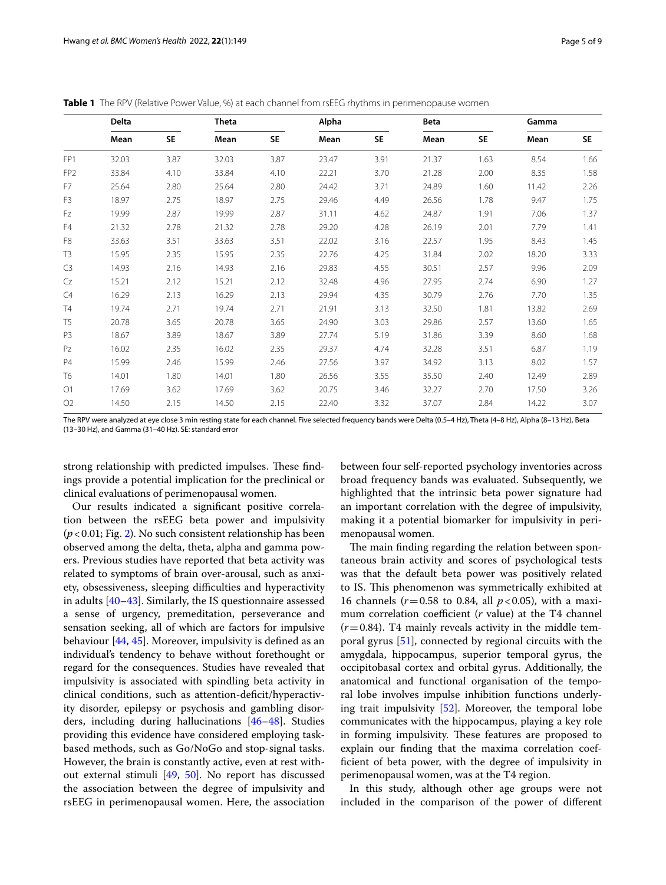|                 | Delta |      | Theta |           | Alpha |      | Beta  |           | Gamma |           |
|-----------------|-------|------|-------|-----------|-------|------|-------|-----------|-------|-----------|
|                 | Mean  | SE.  | Mean  | <b>SE</b> | Mean  | SE.  | Mean  | <b>SE</b> | Mean  | <b>SE</b> |
| FP1             | 32.03 | 3.87 | 32.03 | 3.87      | 23.47 | 3.91 | 21.37 | 1.63      | 8.54  | 1.66      |
| FP <sub>2</sub> | 33.84 | 4.10 | 33.84 | 4.10      | 22.21 | 3.70 | 21.28 | 2.00      | 8.35  | 1.58      |
| F7              | 25.64 | 2.80 | 25.64 | 2.80      | 24.42 | 3.71 | 24.89 | 1.60      | 11.42 | 2.26      |
| F <sub>3</sub>  | 18.97 | 2.75 | 18.97 | 2.75      | 29.46 | 4.49 | 26.56 | 1.78      | 9.47  | 1.75      |
| Fz              | 19.99 | 2.87 | 19.99 | 2.87      | 31.11 | 4.62 | 24.87 | 1.91      | 7.06  | 1.37      |
| F4              | 21.32 | 2.78 | 21.32 | 2.78      | 29.20 | 4.28 | 26.19 | 2.01      | 7.79  | 1.41      |
| F <sub>8</sub>  | 33.63 | 3.51 | 33.63 | 3.51      | 22.02 | 3.16 | 22.57 | 1.95      | 8.43  | 1.45      |
| T <sub>3</sub>  | 15.95 | 2.35 | 15.95 | 2.35      | 22.76 | 4.25 | 31.84 | 2.02      | 18.20 | 3.33      |
| C3              | 14.93 | 2.16 | 14.93 | 2.16      | 29.83 | 4.55 | 30.51 | 2.57      | 9.96  | 2.09      |
| Cz              | 15.21 | 2.12 | 15.21 | 2.12      | 32.48 | 4.96 | 27.95 | 2.74      | 6.90  | 1.27      |
| C4              | 16.29 | 2.13 | 16.29 | 2.13      | 29.94 | 4.35 | 30.79 | 2.76      | 7.70  | 1.35      |
| T4              | 19.74 | 2.71 | 19.74 | 2.71      | 21.91 | 3.13 | 32.50 | 1.81      | 13.82 | 2.69      |
| T <sub>5</sub>  | 20.78 | 3.65 | 20.78 | 3.65      | 24.90 | 3.03 | 29.86 | 2.57      | 13.60 | 1.65      |
| P <sub>3</sub>  | 18.67 | 3.89 | 18.67 | 3.89      | 27.74 | 5.19 | 31.86 | 3.39      | 8.60  | 1.68      |
| PZ              | 16.02 | 2.35 | 16.02 | 2.35      | 29.37 | 4.74 | 32.28 | 3.51      | 6.87  | 1.19      |
| P4              | 15.99 | 2.46 | 15.99 | 2.46      | 27.56 | 3.97 | 34.92 | 3.13      | 8.02  | 1.57      |
| T <sub>6</sub>  | 14.01 | 1.80 | 14.01 | 1.80      | 26.56 | 3.55 | 35.50 | 2.40      | 12.49 | 2.89      |
| O1              | 17.69 | 3.62 | 17.69 | 3.62      | 20.75 | 3.46 | 32.27 | 2.70      | 17.50 | 3.26      |
| O <sub>2</sub>  | 14.50 | 2.15 | 14.50 | 2.15      | 22.40 | 3.32 | 37.07 | 2.84      | 14.22 | 3.07      |

<span id="page-4-0"></span>**Table 1** The RPV (Relative Power Value, %) at each channel from rsEEG rhythms in perimenopause women

The RPV were analyzed at eye close 3 min resting state for each channel. Five selected frequency bands were Delta (0.5–4 Hz), Theta (4–8 Hz), Alpha (8–13 Hz), Beta (13–30 Hz), and Gamma (31–40 Hz). SE: standard error

strong relationship with predicted impulses. These findings provide a potential implication for the preclinical or clinical evaluations of perimenopausal women.

Our results indicated a signifcant positive correlation between the rsEEG beta power and impulsivity (*p*<0.01; Fig. [2](#page-6-0)). No such consistent relationship has been observed among the delta, theta, alpha and gamma powers. Previous studies have reported that beta activity was related to symptoms of brain over-arousal, such as anxiety, obsessiveness, sleeping difficulties and hyperactivity in adults [[40](#page-8-0)[–43](#page-8-1)]. Similarly, the IS questionnaire assessed a sense of urgency, premeditation, perseverance and sensation seeking, all of which are factors for impulsive behaviour [\[44](#page-8-2), [45\]](#page-8-3). Moreover, impulsivity is defned as an individual's tendency to behave without forethought or regard for the consequences. Studies have revealed that impulsivity is associated with spindling beta activity in clinical conditions, such as attention-deficit/hyperactivity disorder, epilepsy or psychosis and gambling disorders, including during hallucinations [\[46](#page-8-4)[–48](#page-8-5)]. Studies providing this evidence have considered employing taskbased methods, such as Go/NoGo and stop-signal tasks. However, the brain is constantly active, even at rest without external stimuli [[49,](#page-8-6) [50](#page-8-7)]. No report has discussed the association between the degree of impulsivity and rsEEG in perimenopausal women. Here, the association between four self-reported psychology inventories across broad frequency bands was evaluated. Subsequently, we highlighted that the intrinsic beta power signature had an important correlation with the degree of impulsivity, making it a potential biomarker for impulsivity in perimenopausal women.

The main finding regarding the relation between spontaneous brain activity and scores of psychological tests was that the default beta power was positively related to IS. This phenomenon was symmetrically exhibited at 16 channels (*r*=0.58 to 0.84, all *p*<0.05), with a maximum correlation coefficient (*r* value) at the T4 channel  $(r=0.84)$ . T4 mainly reveals activity in the middle temporal gyrus [[51\]](#page-8-8), connected by regional circuits with the amygdala, hippocampus, superior temporal gyrus, the occipitobasal cortex and orbital gyrus. Additionally, the anatomical and functional organisation of the temporal lobe involves impulse inhibition functions underlying trait impulsivity [\[52](#page-8-9)]. Moreover, the temporal lobe communicates with the hippocampus, playing a key role in forming impulsivity. These features are proposed to explain our fnding that the maxima correlation coeffcient of beta power, with the degree of impulsivity in perimenopausal women, was at the T4 region.

In this study, although other age groups were not included in the comparison of the power of diferent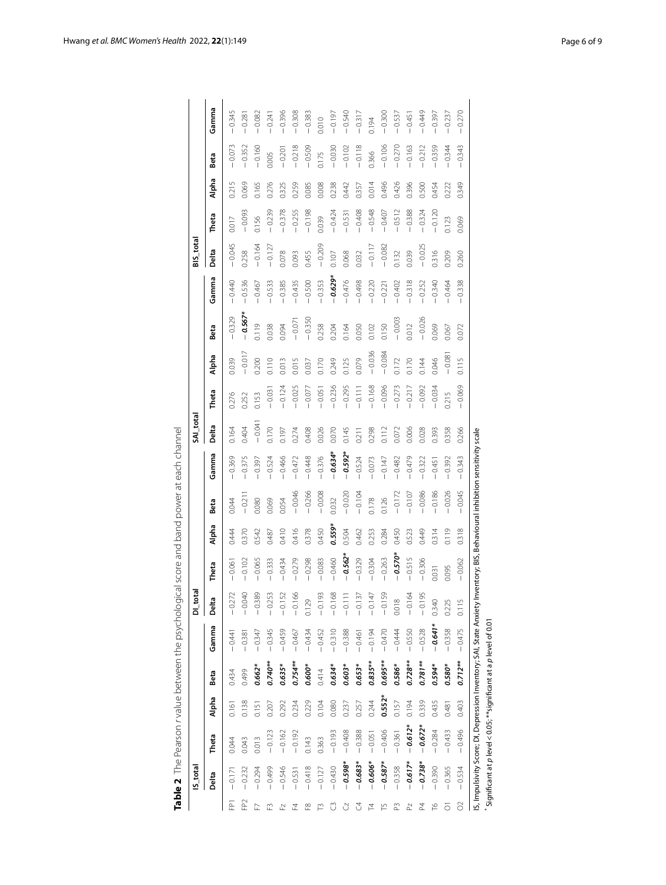|                 | IS_total  |           |          |            |           | DI_tota  |           |        |          |                         | SAI_total |          |          |           |           | BIS_tota |          |       |          |          |
|-----------------|-----------|-----------|----------|------------|-----------|----------|-----------|--------|----------|-------------------------|-----------|----------|----------|-----------|-----------|----------|----------|-------|----------|----------|
|                 | Delta     | Theta     | Alpha    | Beta       | Gamma     | Delta    | Theta     | Alpha  | Beta     | Gamma                   | Delta     | Theta    | Alpha    | Beta      | Gamma     | Delta    | Theta    | Alpha | Beta     | Gamma    |
| 짇               | $-0.171$  | 0.044     | 0.161    | 0.434      | $-0.441$  | $-0.272$ | 0.061     | 0.444  | 0.044    | 0.369                   | 0.164     | 0.276    | 0.039    | $-0.329$  | $-0.440$  | $-0.045$ | 0.017    | 0.215 | $-0.073$ | $-0.345$ |
| FP <sub>2</sub> | $-0.232$  | 0.043     | 0.138    | 0.499      | $-0.381$  | $-0.040$ | $-0.102$  | 0.370  | $-0.211$ | $-0.375$                | 0.404     | 0.252    | $-0.017$ | $-0.567*$ | $-0.536$  | 0.258    | $-0.093$ | 0.069 | $-0.352$ | $-0.281$ |
|                 | $-0.294$  | 0.013     | 0.151    | $0.662*$   | $-0.347$  | $-0.389$ | $-0.065$  | 0.542  | 0.080    | $-0.397$                | $-0.041$  | 0.153    | 0.200    | 0.119     | $-0.467$  | $-0.164$ | 0.156    | 0.165 | $-0.160$ | $-0.082$ |
|                 | $-0.499$  | $-0.123$  | 0.207    | $0.740**$  | $-0.345$  | $-0.253$ | $-0.333$  | 0.487  | 0.069    | 0.524                   | 0.170     | $-0.031$ | 0.110    | 0.038     | $-0.533$  | $-0.127$ | $-0.239$ | 0.276 | 0.005    | $-0.241$ |
|                 | $-0.546$  | $-0.162$  | 0.292    | 0.635*     | $-0.459$  | $-0.152$ | $-0.434$  | 0.410  | 0.054    | $-0.466$                | 0.197     | 0.124    | 0.013    | 0.094     | $-0.385$  | 0.078    | $-0.378$ | 0.325 | $-0.201$ | $-0.396$ |
|                 | $-0.531$  | $-0.192$  | 0.234    | $0.754***$ | $-0.467$  | $-0.166$ | $-0.279$  | 0.416  | $-0.046$ | $-0.472$                | 0.274     | 0.025    | 0.015    | $-0.071$  | $-0.435$  | 0.093    | $-0.255$ | 0.259 | $-0.218$ | $-0.308$ |
|                 | $-0.418$  | 0.143     | 0.229    | $0.600*$   | $-0.434$  | 0.129    | $-0.298$  | 0.378  | $-0.266$ | $-0.448$                | 0.408     | $-0.077$ | 0.037    | $-0.350$  | $-0.500$  | 0.455    | $-0.198$ | 0.085 | $-0.509$ | $-0.383$ |
|                 | $-0.127$  | 0.363     | 0.104    | 0.414      | $-0.452$  | $-0.193$ | $-0.083$  | 0.450  | $-0.008$ | $-0.376$                | 0.026     | $-0.051$ | 0.170    | 0.258     | $-0.353$  | $-0.209$ | 0.039    | 0.008 | 0.175    | 0.010    |
|                 | $-0.430$  | $-0.193$  | 0.080    | $0.634*$   | $-0.310$  | $-0.168$ | $-0.460$  | 0.559* | 0.032    | $-0.634*$               | 0.070     | $-0.236$ | 0.249    | 0.204     | $-0.629*$ | 0.107    | $-0.424$ | 0.238 | $-0.030$ | $-0.197$ |
|                 | $-0.598*$ | $-0.408$  | 0.237    | 0.603*     | $-0.388$  | $-0.111$ | $-0.562*$ | 0.504  | $-0.020$ | $-0.592*$               | 0.145     | $-0.295$ | 0.125    | 0.164     | $-0.476$  | 0.068    | $-0.531$ | 0.442 | $-0.102$ | $-0.540$ |
|                 | $-0.683*$ | $-0.388$  | 0.257    | 0.653*     | $-0.461$  | $-0.137$ | $-0.329$  | 0.462  | $-0.104$ | $-0.524$                | 0.211     | $-0.111$ | 0.079    | 0.050     | $-0.498$  | 0.032    | $-0.408$ | 0.357 | $-0.118$ | $-0.317$ |
|                 | $-0.606*$ | $-0.051$  | 0.244    | $0.835***$ | $-0.194$  | $-0.147$ | $-0.304$  | 0.253  | 0.178    | $-0.073$                | 0.298     | $-0.168$ | $-0.036$ | 0.102     | $-0.220$  | $-0.117$ | $-0.548$ | 0.014 | 0.366    | 0.194    |
|                 | $-0.587*$ | $-0.406$  | $0.552*$ | 0.695**    | $-0.470$  | $-0.159$ | $-0.263$  | 0.284  | 0.126    | $-0.147$                | 0.112     | $-0.096$ | $-0.084$ | 0.150     | $-0.221$  | $-0.082$ | $-0.407$ | 0.496 | $-0.106$ | $-0.300$ |
|                 | $-0.358$  | $-0.361$  | 0.157    | 0.586*     | $-0.444$  | 0.018    | $-0.570*$ | 0.450  | $-0.172$ | 0.482                   | 0.072     | $-0.273$ | 0.172    | $-0.003$  | $-0.402$  | 0.132    | $-0.512$ | 0.426 | $-0.270$ | $-0.53$  |
|                 | $-0.617*$ | $-0.612*$ | 0.194    | $0.728**$  | $-0.550$  | $-0.164$ | $-0.515$  | 0.523  | $-0.107$ | $-0.479$                | 0.006     | $-0.217$ | 0.170    | 0.012     | $-0.318$  | 0.039    | $-0.388$ | 0.396 | $-0.163$ | $-0.451$ |
|                 | $-0.738*$ | $-0.672*$ | 0.339    | $0.781**$  | $-0.528$  | $-0.195$ | $-0.306$  | 0.449  | $-0.086$ | 0.322                   | 0.028     | $-0.092$ | 0.144    | $-0.026$  | $-0.252$  | $-0.025$ | $-0.324$ | 0.500 | $-0.212$ | $-0.449$ |
|                 | $-0.390$  | $-0.284$  | 0.435    | $0.594*$   | $-0.641*$ | 0.340    | 0.031     | 0.314  | $-0.186$ | 0.451                   | 0.393     | $-0.034$ | 0.046    | 0.069     | $-0.340$  | 0.316    | $-0.120$ | 0.454 | $-0.359$ | $-0.397$ |
|                 | 0.365     | $-0.433$  | 0.481    | $0.580*$   | $-0.358$  | 0.225    | 0.095     | 0.119  | 0.026    | $-0.392$                | 0.358     | 0.215    | $-0.081$ | 0.067     | $-0.464$  | 0.209    | 0.123    | 0.222 | $-0.344$ | $-0.237$ |
|                 | 0.534     | $-0.496$  | 0.403    | $0.712**$  | $-0.475$  | 0.115    | $-0.062$  | 0.318  | $-0.045$ | 0.343<br>$\overline{1}$ | 0.266     | $-0.069$ | 0.115    | 0.072     | $-0.338$  | 0.260    | 0.069    | 0.349 | 0.343    | 0.270    |

<span id="page-5-0"></span>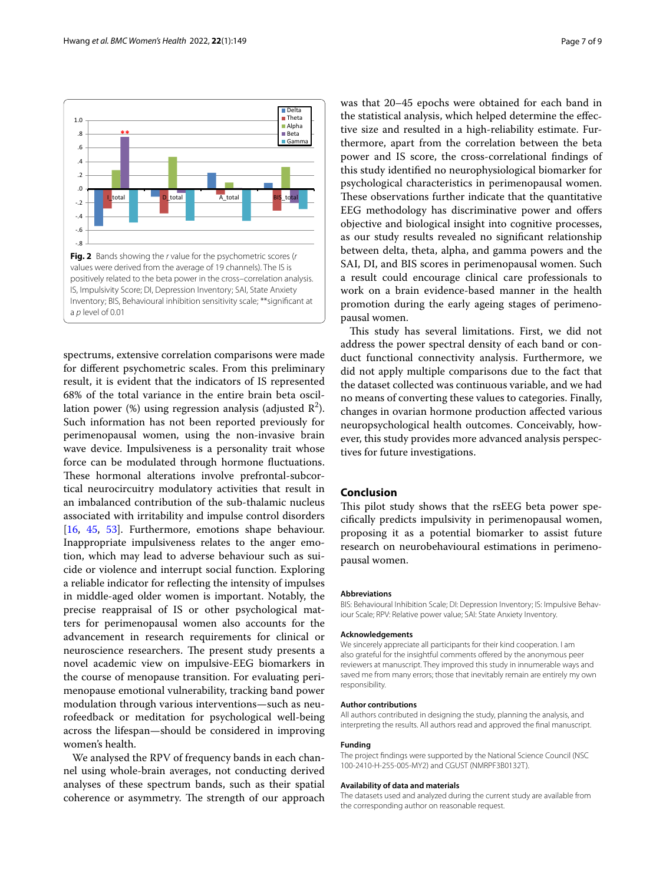



<span id="page-6-0"></span>spectrums, extensive correlation comparisons were made for diferent psychometric scales. From this preliminary result, it is evident that the indicators of IS represented 68% of the total variance in the entire brain beta oscillation power (%) using regression analysis (adjusted  $\mathbb{R}^2$ ). Such information has not been reported previously for perimenopausal women, using the non-invasive brain wave device. Impulsiveness is a personality trait whose force can be modulated through hormone fuctuations. These hormonal alterations involve prefrontal-subcortical neurocircuitry modulatory activities that result in an imbalanced contribution of the sub-thalamic nucleus associated with irritability and impulse control disorders [[16,](#page-7-13) [45](#page-8-3), [53\]](#page-8-10). Furthermore, emotions shape behaviour. Inappropriate impulsiveness relates to the anger emotion, which may lead to adverse behaviour such as suicide or violence and interrupt social function. Exploring a reliable indicator for refecting the intensity of impulses in middle-aged older women is important. Notably, the precise reappraisal of IS or other psychological matters for perimenopausal women also accounts for the advancement in research requirements for clinical or neuroscience researchers. The present study presents a novel academic view on impulsive-EEG biomarkers in the course of menopause transition. For evaluating perimenopause emotional vulnerability, tracking band power modulation through various interventions—such as neurofeedback or meditation for psychological well-being across the lifespan—should be considered in improving women's health.

We analysed the RPV of frequency bands in each channel using whole-brain averages, not conducting derived analyses of these spectrum bands, such as their spatial coherence or asymmetry. The strength of our approach was that 20–45 epochs were obtained for each band in the statistical analysis, which helped determine the efective size and resulted in a high-reliability estimate. Furthermore, apart from the correlation between the beta power and IS score, the cross-correlational fndings of this study identifed no neurophysiological biomarker for psychological characteristics in perimenopausal women. These observations further indicate that the quantitative EEG methodology has discriminative power and offers objective and biological insight into cognitive processes, as our study results revealed no signifcant relationship between delta, theta, alpha, and gamma powers and the SAI, DI, and BIS scores in perimenopausal women. Such a result could encourage clinical care professionals to work on a brain evidence-based manner in the health promotion during the early ageing stages of perimenopausal women.

This study has several limitations. First, we did not address the power spectral density of each band or conduct functional connectivity analysis. Furthermore, we did not apply multiple comparisons due to the fact that the dataset collected was continuous variable, and we had no means of converting these values to categories. Finally, changes in ovarian hormone production afected various neuropsychological health outcomes. Conceivably, however, this study provides more advanced analysis perspectives for future investigations.

# **Conclusion**

This pilot study shows that the rsEEG beta power specifcally predicts impulsivity in perimenopausal women, proposing it as a potential biomarker to assist future research on neurobehavioural estimations in perimenopausal women.

#### **Abbreviations**

BIS: Behavioural Inhibition Scale; DI: Depression Inventory; IS: Impulsive Behaviour Scale; RPV: Relative power value; SAI: State Anxiety Inventory.

#### **Acknowledgements**

We sincerely appreciate all participants for their kind cooperation. I am also grateful for the insightful comments ofered by the anonymous peer reviewers at manuscript. They improved this study in innumerable ways and saved me from many errors; those that inevitably remain are entirely my own responsibility.

#### **Author contributions**

All authors contributed in designing the study, planning the analysis, and interpreting the results. All authors read and approved the fnal manuscript.

#### **Funding**

The project fndings were supported by the National Science Council (NSC 100-2410-H-255-005-MY2) and CGUST (NMRPF3B0132T).

#### **Availability of data and materials**

The datasets used and analyzed during the current study are available from the corresponding author on reasonable request.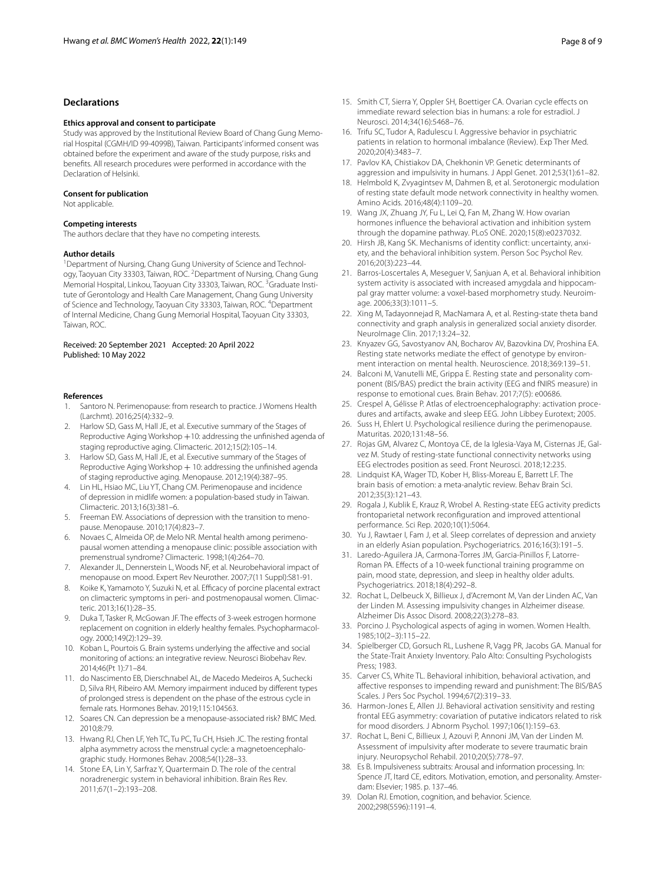# **Declarations**

#### **Ethics approval and consent to participate**

Study was approved by the Institutional Review Board of Chang Gung Memorial Hospital (CGMH/ID 99-4099B), Taiwan. Participants' informed consent was obtained before the experiment and aware of the study purpose, risks and benefts. All research procedures were performed in accordance with the Declaration of Helsinki.

#### **Consent for publication**

Not applicable.

## **Competing interests**

The authors declare that they have no competing interests.

#### **Author details**

<sup>1</sup> Department of Nursing, Chang Gung University of Science and Technology, Taoyuan City 33303, Taiwan, ROC. <sup>2</sup> Department of Nursing, Chang Gung Memorial Hospital, Linkou, Taoyuan City 33303, Taiwan, ROC. <sup>3</sup>Graduate Institute of Gerontology and Health Care Management, Chang Gung University of Science and Technology, Taoyuan City 33303, Taiwan, ROC. <sup>4</sup>Department of Internal Medicine, Chang Gung Memorial Hospital, Taoyuan City 33303, Taiwan, ROC.

#### Received: 20 September 2021 Accepted: 20 April 2022 Published: 10 May 2022

#### **References**

- <span id="page-7-0"></span>Santoro N. Perimenopause: from research to practice. J Womens Health (Larchmt). 2016;25(4):332–9.
- <span id="page-7-1"></span>2. Harlow SD, Gass M, Hall JE, et al. Executive summary of the Stages of Reproductive Aging Workshop +10: addressing the unfnished agenda of staging reproductive aging. Climacteric. 2012;15(2):105–14.
- <span id="page-7-2"></span>3. Harlow SD, Gass M, Hall JE, et al. Executive summary of the Stages of Reproductive Aging Workshop  $+10$ : addressing the unfinished agenda of staging reproductive aging. Menopause. 2012;19(4):387–95.
- <span id="page-7-3"></span>4. Lin HL, Hsiao MC, Liu YT, Chang CM. Perimenopause and incidence of depression in midlife women: a population-based study in Taiwan. Climacteric. 2013;16(3):381–6.
- <span id="page-7-4"></span>5. Freeman EW. Associations of depression with the transition to menopause. Menopause. 2010;17(4):823–7.
- <span id="page-7-5"></span>6. Novaes C, Almeida OP, de Melo NR. Mental health among perimenopausal women attending a menopause clinic: possible association with premenstrual syndrome? Climacteric. 1998;1(4):264–70.
- <span id="page-7-6"></span>7. Alexander JL, Dennerstein L, Woods NF, et al. Neurobehavioral impact of menopause on mood. Expert Rev Neurother. 2007;7(11 Suppl):S81-91.
- <span id="page-7-7"></span>8. Koike K, Yamamoto Y, Suzuki N, et al. Efficacy of porcine placental extract on climacteric symptoms in peri- and postmenopausal women. Climacteric. 2013;16(1):28–35.
- <span id="page-7-8"></span>9. Duka T, Tasker R, McGowan JF. The effects of 3-week estrogen hormone replacement on cognition in elderly healthy females. Psychopharmacology. 2000;149(2):129–39.
- <span id="page-7-9"></span>10. Koban L, Pourtois G. Brain systems underlying the afective and social monitoring of actions: an integrative review. Neurosci Biobehav Rev. 2014;46(Pt 1):71–84.
- <span id="page-7-10"></span>11. do Nascimento EB, Dierschnabel AL, de Macedo Medeiros A, Suchecki D, Silva RH, Ribeiro AM. Memory impairment induced by diferent types of prolonged stress is dependent on the phase of the estrous cycle in female rats. Hormones Behav. 2019;115:104563.
- <span id="page-7-11"></span>12. Soares CN. Can depression be a menopause-associated risk? BMC Med. 2010;8:79.
- <span id="page-7-12"></span>13. Hwang RJ, Chen LF, Yeh TC, Tu PC, Tu CH, Hsieh JC. The resting frontal alpha asymmetry across the menstrual cycle: a magnetoencephalographic study. Hormones Behav. 2008;54(1):28–33.
- <span id="page-7-34"></span>14. Stone EA, Lin Y, Sarfraz Y, Quartermain D. The role of the central noradrenergic system in behavioral inhibition. Brain Res Rev. 2011;67(1–2):193–208.
- <span id="page-7-14"></span>15. Smith CT, Sierra Y, Oppler SH, Boettiger CA. Ovarian cycle efects on immediate reward selection bias in humans: a role for estradiol. J Neurosci. 2014;34(16):5468–76.
- <span id="page-7-13"></span>16. Trifu SC, Tudor A, Radulescu I. Aggressive behavior in psychiatric patients in relation to hormonal imbalance (Review). Exp Ther Med. 2020;20(4):3483–7.
- <span id="page-7-15"></span>17. Pavlov KA, Chistiakov DA, Chekhonin VP. Genetic determinants of aggression and impulsivity in humans. J Appl Genet. 2012;53(1):61–82.
- <span id="page-7-16"></span>18. Helmbold K, Zvyagintsev M, Dahmen B, et al. Serotonergic modulation of resting state default mode network connectivity in healthy women. Amino Acids. 2016;48(4):1109–20.
- <span id="page-7-17"></span>19. Wang JX, Zhuang JY, Fu L, Lei Q, Fan M, Zhang W. How ovarian hormones infuence the behavioral activation and inhibition system through the dopamine pathway. PLoS ONE. 2020;15(8):e0237032.
- <span id="page-7-18"></span>20. Hirsh JB, Kang SK. Mechanisms of identity conflict: uncertainty, anxiety, and the behavioral inhibition system. Person Soc Psychol Rev. 2016;20(3):223–44.
- <span id="page-7-19"></span>21. Barros-Loscertales A, Meseguer V, Sanjuan A, et al. Behavioral inhibition system activity is associated with increased amygdala and hippocampal gray matter volume: a voxel-based morphometry study. Neuroimage. 2006;33(3):1011–5.
- <span id="page-7-20"></span>22. Xing M, Tadayonnejad R, MacNamara A, et al. Resting-state theta band connectivity and graph analysis in generalized social anxiety disorder. NeuroImage Clin. 2017;13:24–32.
- 23. Knyazev GG, Savostyanov AN, Bocharov AV, Bazovkina DV, Proshina EA. Resting state networks mediate the effect of genotype by environment interaction on mental health. Neuroscience. 2018;369:139–51.
- <span id="page-7-21"></span>24. Balconi M, Vanutelli ME, Grippa E. Resting state and personality component (BIS/BAS) predict the brain activity (EEG and fNIRS measure) in response to emotional cues. Brain Behav. 2017;7(5): e00686.
- <span id="page-7-22"></span>25. Crespel A, Gélisse P. Atlas of electroencephalography: activation procedures and artifacts, awake and sleep EEG. John Libbey Eurotext; 2005.
- <span id="page-7-23"></span>26. Suss H, Ehlert U. Psychological resilience during the perimenopause. Maturitas. 2020;131:48–56.
- <span id="page-7-24"></span>27. Rojas GM, Alvarez C, Montoya CE, de la Iglesia-Vaya M, Cisternas JE, Galvez M. Study of resting-state functional connectivity networks using EEG electrodes position as seed. Front Neurosci. 2018;12:235.
- <span id="page-7-25"></span>28. Lindquist KA, Wager TD, Kober H, Bliss-Moreau E, Barrett LF. The brain basis of emotion: a meta-analytic review. Behav Brain Sci. 2012;35(3):121–43.
- <span id="page-7-26"></span>29. Rogala J, Kublik E, Krauz R, Wrobel A. Resting-state EEG activity predicts frontoparietal network reconfguration and improved attentional performance. Sci Rep. 2020;10(1):5064.
- <span id="page-7-27"></span>30. Yu J, Rawtaer I, Fam J, et al. Sleep correlates of depression and anxiety in an elderly Asian population. Psychogeriatrics. 2016;16(3):191–5.
- 31. Laredo-Aguilera JA, Carmona-Torres JM, Garcia-Pinillos F, Latorre-Roman PA. Efects of a 10-week functional training programme on pain, mood state, depression, and sleep in healthy older adults. Psychogeriatrics. 2018;18(4):292–8.
- <span id="page-7-32"></span>32. Rochat L, Delbeuck X, Billieux J, d'Acremont M, Van der Linden AC, Van der Linden M. Assessing impulsivity changes in Alzheimer disease. Alzheimer Dis Assoc Disord. 2008;22(3):278–83.
- <span id="page-7-28"></span>33. Porcino J. Psychological aspects of aging in women. Women Health. 1985;10(2–3):115–22.
- <span id="page-7-29"></span>34. Spielberger CD, Gorsuch RL, Lushene R, Vagg PR, Jacobs GA. Manual for the State-Trait Anxiety Inventory. Palo Alto: Consulting Psychologists Press; 1983.
- <span id="page-7-30"></span>35. Carver CS, White TL. Behavioral inhibition, behavioral activation, and afective responses to impending reward and punishment: The BIS/BAS Scales. J Pers Soc Psychol. 1994;67(2):319–33.
- <span id="page-7-31"></span>36. Harmon-Jones E, Allen JJ. Behavioral activation sensitivity and resting frontal EEG asymmetry: covariation of putative indicators related to risk for mood disorders. J Abnorm Psychol. 1997;106(1):159–63.
- <span id="page-7-33"></span>37. Rochat L, Beni C, Billieux J, Azouvi P, Annoni JM, Van der Linden M. Assessment of impulsivity after moderate to severe traumatic brain injury. Neuropsychol Rehabil. 2010;20(5):778–97.
- <span id="page-7-35"></span>38. Es B. Impulsiveness subtraits: Arousal and information processing. In: Spence JT, Itard CE, editors. Motivation, emotion, and personality. Amsterdam: Elsevier; 1985. p. 137–46.
- <span id="page-7-36"></span>39. Dolan RJ. Emotion, cognition, and behavior. Science. 2002;298(5596):1191–4.